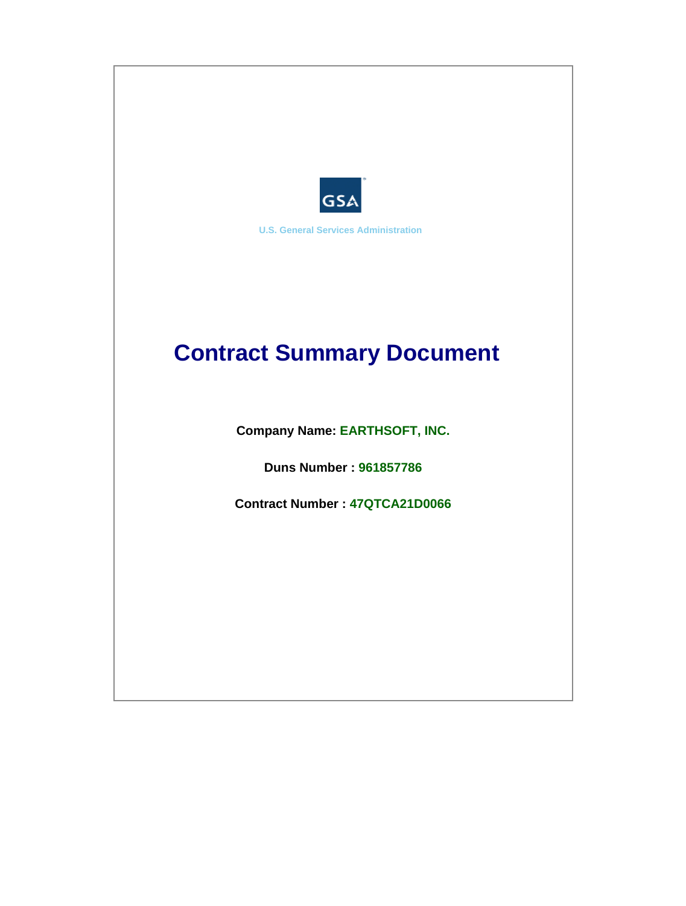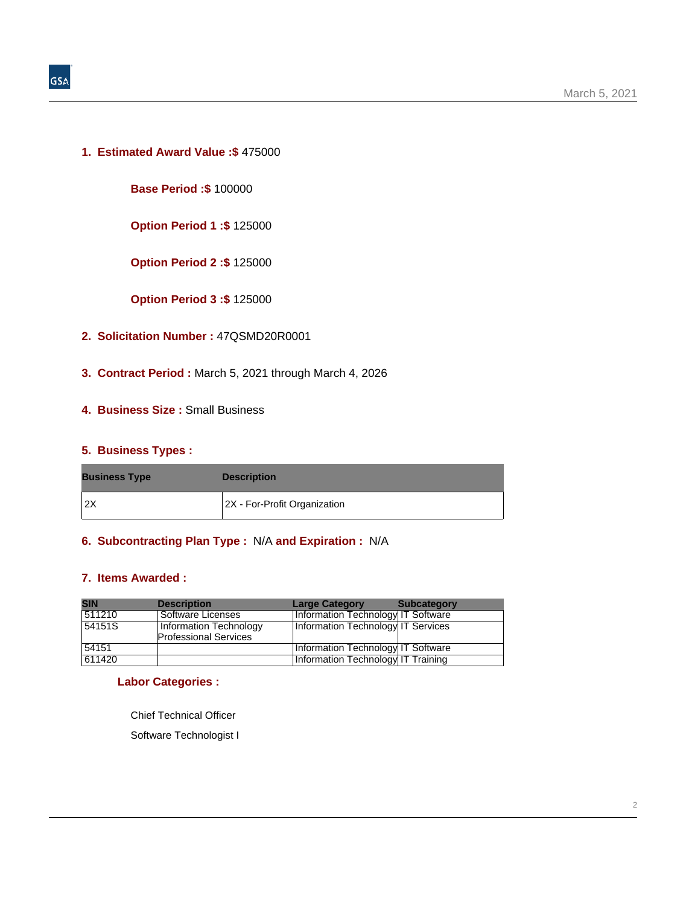**1. Estimated Award Value :\$** 475000

**Base Period :\$** 100000

**Option Period 1 :\$** 125000

**Option Period 2 :\$** 125000

**Option Period 3 :\$** 125000

- **2. Solicitation Number :** 47QSMD20R0001
- **3. Contract Period :** March 5, 2021 through March 4, 2026
- **4. Business Size :** Small Business

## **5. Business Types :**

| <b>Business Type</b> | <b>Description</b>           |
|----------------------|------------------------------|
| 12X                  | 2X - For-Profit Organization |

## **6. Subcontracting Plan Type :** N/A **and Expiration :** N/A

### **7. Items Awarded :**

| <b>SIN</b> | <b>Description</b>                                     | <b>Large Category</b>              | <b>Subcategory</b> |
|------------|--------------------------------------------------------|------------------------------------|--------------------|
| 511210     | Software Licenses                                      | Information Technology IT Software |                    |
| 54151S     | Information Technology<br><b>Professional Services</b> | Information Technology IT Services |                    |
| 54151      |                                                        | Information Technology IT Software |                    |
| 611420     |                                                        | Information Technology IT Training |                    |

#### **Labor Categories :**

Chief Technical Officer

Software Technologist I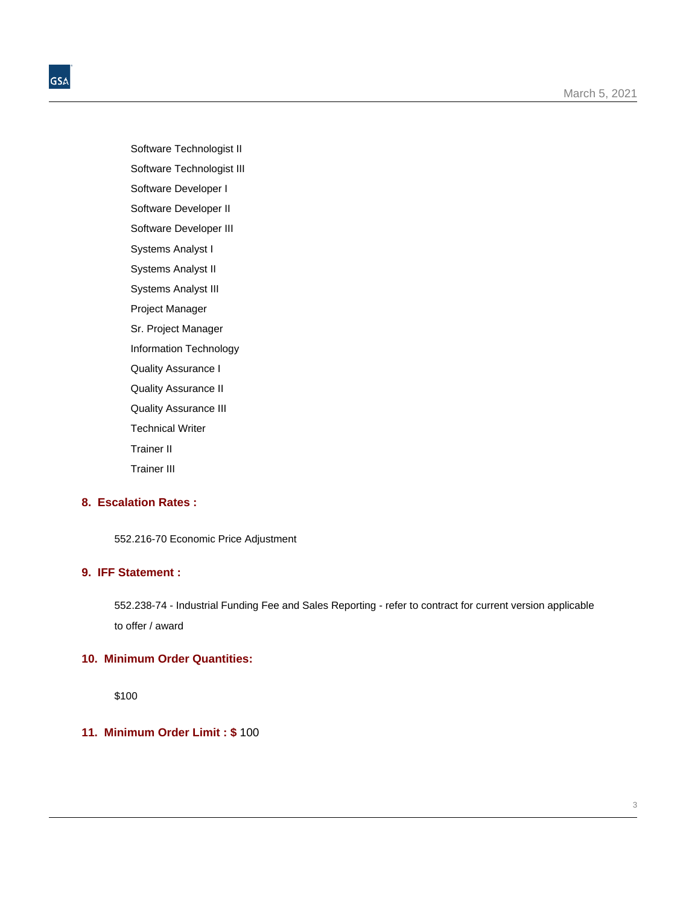Software Technologist II

Software Technologist III Software Developer I

Software Developer II

Software Developer III

Systems Analyst I

Systems Analyst II

Systems Analyst III

Project Manager

Sr. Project Manager

Information Technology

Quality Assurance I

Quality Assurance II

Quality Assurance III

Technical Writer

Trainer II

Trainer III

## **8. Escalation Rates :**

552.216-70 Economic Price Adjustment

## **9. IFF Statement :**

552.238-74 - Industrial Funding Fee and Sales Reporting - refer to contract for current version applicable to offer / award

# **10. Minimum Order Quantities:**

\$100

# **11. Minimum Order Limit : \$** 100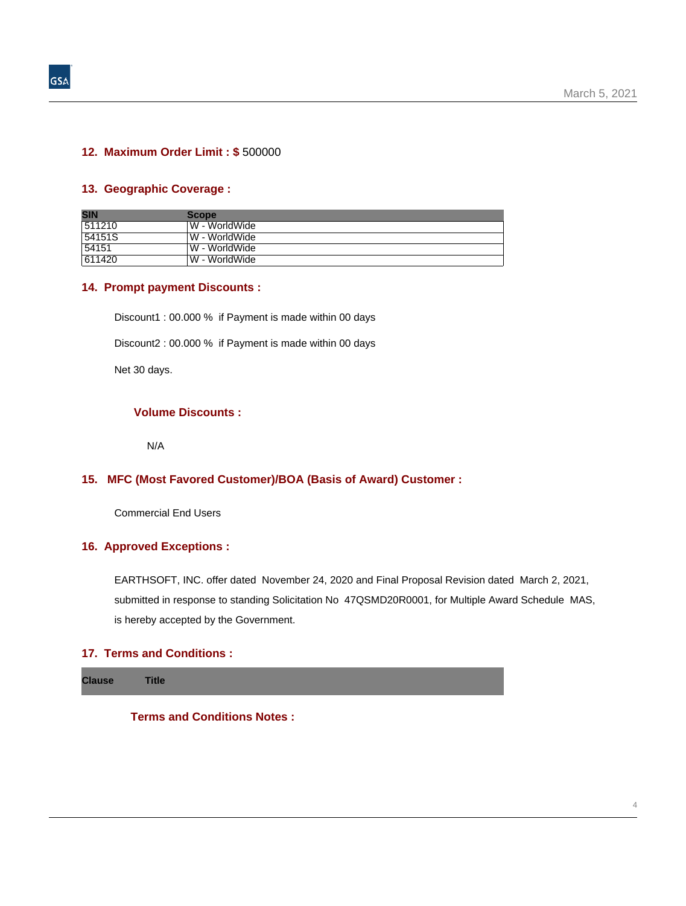#### **12. Maximum Order Limit : \$** 500000

#### **13. Geographic Coverage :**

| <b>SIN</b> | <b>Scope</b>   |
|------------|----------------|
| 511210     | W - WorldWide  |
| 54151S     | .W - WorldWide |
| 54151      | W - WorldWide  |
| 611420     | W - WorldWide  |

#### **14. Prompt payment Discounts :**

Discount1 : 00.000 % if Payment is made within 00 days

Discount2 : 00.000 % if Payment is made within 00 days

Net 30 days.

## **Volume Discounts :**

N/A

### **15. MFC (Most Favored Customer)/BOA (Basis of Award) Customer :**

Commercial End Users

#### **16. Approved Exceptions :**

EARTHSOFT, INC. offer dated November 24, 2020 and Final Proposal Revision dated March 2, 2021, submitted in response to standing Solicitation No 47QSMD20R0001, for Multiple Award Schedule MAS, is hereby accepted by the Government.

## **17. Terms and Conditions :**

**Clause Title**

**Terms and Conditions Notes :**